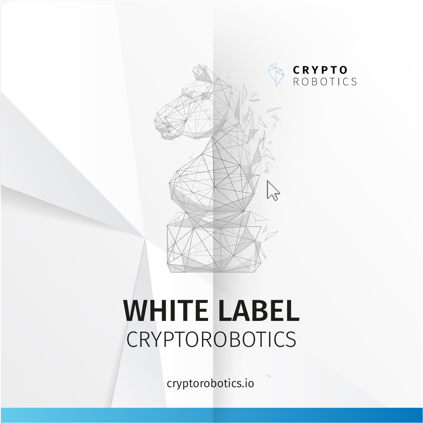

## WHITE LABEL CRYPTOROBOTICS

cryptorobotics.io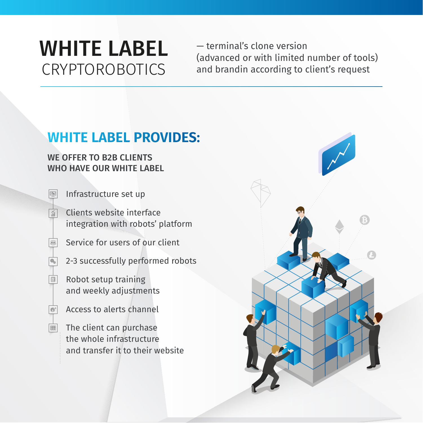### WHITE LABEL CRYPTOROBOTICS

— terminal's clone version (advanced or with limited number of tools) and brandin according to client's request

#### **WHITE LABEL PROVIDES:**

#### WE OFFER TO B2B CLIENTS WHO HAVE OUR WHITE LABEL

Infrastructure set up

 $\boxed{\underline{\odot_0}}$ 

- $\sqrt{\frac{\partial^2}{\partial x^2}}$ Clients website interface integration with robots' platform
	- Service for users of our client
	- 2-3 successfully performed robots
- Robot setup training  $\begin{bmatrix} 0 & 0 \\ 26 \end{bmatrix}$ and weekly adjustments
- **Access to alerts channel**
- **The client can purchase** the whole infrastructure and transfer it to their website

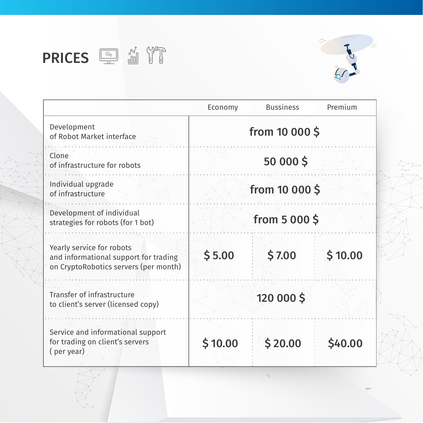### **PRICES ED ED PRICES**



|                                                                                                             | Economy        | <b>Bussiness</b> | Premium |
|-------------------------------------------------------------------------------------------------------------|----------------|------------------|---------|
| Development<br>of Robot Market interface                                                                    | from 10 000 \$ |                  |         |
| Clone<br>of infrastructure for robots                                                                       |                | 50 000 \$        |         |
| Individual upgrade<br>of infrastructure                                                                     | from 10 000 \$ |                  |         |
| Development of individual<br>strategies for robots (for 1 bot)                                              | from 5 000 \$  |                  |         |
| Yearly service for robots<br>and informational support for trading<br>on CryptoRobotics servers (per month) | \$5.00         | \$7.00           | \$10.00 |
| Transfer of infrastructure<br>to client's server (licensed copy)                                            |                | 120 000 \$       |         |
| Service and informational support<br>for trading on client's servers<br>(per year)                          | \$10.00        | \$20.00          | \$40.00 |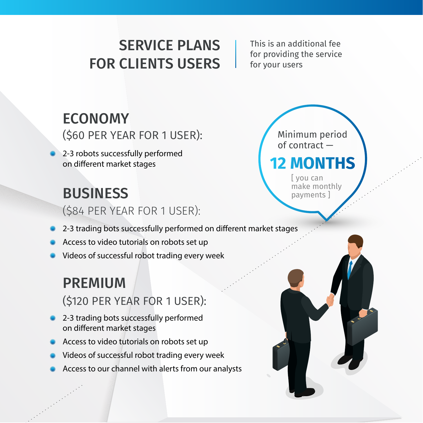#### SERVICE PLANS FOR CLIENTS USERS

This is an additional fee for providing the service for your users

#### ECONOMY

(\$60 PER YEAR FOR 1 USER):

2-3 robots successfully performed on different market stages

#### **BUSINESS**

(\$84 PER YEAR FOR 1 USER):

2-3 trading bots successfully performed on different market stages

- Access to video tutorials on robots set up
- Videos of successful robot trading every week

#### PREMIUM

(\$120 PER YEAR FOR 1 USER):

- 2-3 trading bots successfully performed on different market stages
- Access to video tutorials on robots set up
- Videos of successful robot trading every week
- Access to our channel with alerts from our analysts

Minimum period of contract — **2 MONTHS** 

> [ you can make monthly payments ]